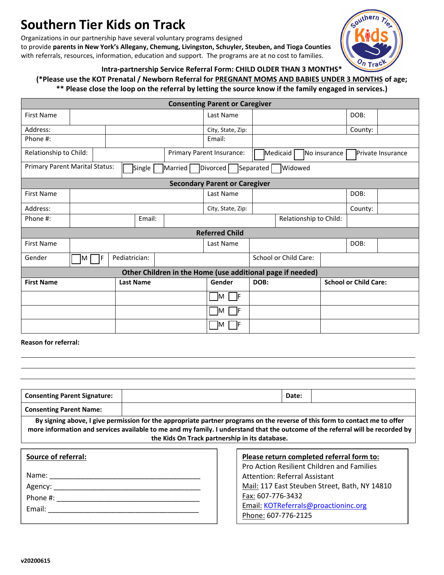# **Southern Tier Kids on Track**

Organizations in our partnership have several voluntary programs designed to provide **parents in New York's Allegany, Chemung, Livingston, Schuyler, Steuben, and Tioga Counties** with referrals, resources, information, education and support. The programs are at no cost to families.



### **Intra-partnership Service Referral Form: CHILD OLDER THAN 3 MONTHS\***

## **(\*Please use the KOT Prenatal / Newborn Referral for PREGNANT MOMS AND BABIES UNDER 3 MONTHS of age;**

### **\*\* Please close the loop on the referral by letting the source know if the family engaged in services.)**

|                                                                                                                                    |                    |                  |        |                   | <b>Consenting Parent or Caregiver</b> |                          |  |                              |                          |         |  |
|------------------------------------------------------------------------------------------------------------------------------------|--------------------|------------------|--------|-------------------|---------------------------------------|--------------------------|--|------------------------------|--------------------------|---------|--|
| First Name                                                                                                                         |                    |                  |        |                   | Last Name                             |                          |  |                              |                          | DOB:    |  |
| Address:                                                                                                                           |                    |                  |        |                   | City, State, Zip:                     |                          |  |                              |                          | County: |  |
| Phone #:                                                                                                                           |                    |                  |        |                   | Email:                                |                          |  |                              |                          |         |  |
| Relationship to Child:                                                                                                             |                    |                  |        |                   | Primary Parent Insurance:             | Medicaid<br>No insurance |  |                              | <b>Private Insurance</b> |         |  |
| Primary Parent Marital Status:<br>Single  <br>$\sqrt{\frac{1}{2}}$ Married<br>Separated<br><b>Widowed</b><br>Divorced <sup>[</sup> |                    |                  |        |                   |                                       |                          |  |                              |                          |         |  |
| <b>Secondary Parent or Caregiver</b>                                                                                               |                    |                  |        |                   |                                       |                          |  |                              |                          |         |  |
| <b>First Name</b>                                                                                                                  |                    |                  |        | Last Name         |                                       |                          |  | DOB:                         |                          |         |  |
| Address:                                                                                                                           |                    |                  |        | City, State, Zip: |                                       |                          |  | County:                      |                          |         |  |
| Phone #:                                                                                                                           |                    |                  | Email: |                   |                                       | Relationship to Child:   |  |                              |                          |         |  |
| <b>Referred Child</b>                                                                                                              |                    |                  |        |                   |                                       |                          |  |                              |                          |         |  |
| First Name                                                                                                                         |                    |                  |        | Last Name         |                                       |                          |  | DOB:                         |                          |         |  |
| Gender                                                                                                                             | ٦F<br>$\mathsf{M}$ | Pediatrician:    |        |                   |                                       | School or Child Care:    |  |                              |                          |         |  |
| Other Children in the Home (use additional page if needed)                                                                         |                    |                  |        |                   |                                       |                          |  |                              |                          |         |  |
| <b>First Name</b>                                                                                                                  |                    | <b>Last Name</b> |        |                   | Gender                                | DOB:                     |  | <b>School or Child Care:</b> |                          |         |  |
|                                                                                                                                    |                    |                  |        |                   | $M \Box F$                            |                          |  |                              |                          |         |  |
|                                                                                                                                    |                    |                  |        |                   | – IF<br>IM.                           |                          |  |                              |                          |         |  |
|                                                                                                                                    |                    |                  |        |                   | IM.                                   |                          |  |                              |                          |         |  |

**Reason for referral:**

| <b>Consenting Parent Signature:</b>                                                                                                                                                                                                                                                                             |  |                                           | Date:                                |                                                   |  |  |  |  |  |  |
|-----------------------------------------------------------------------------------------------------------------------------------------------------------------------------------------------------------------------------------------------------------------------------------------------------------------|--|-------------------------------------------|--------------------------------------|---------------------------------------------------|--|--|--|--|--|--|
| <b>Consenting Parent Name:</b>                                                                                                                                                                                                                                                                                  |  |                                           |                                      |                                                   |  |  |  |  |  |  |
| By signing above, I give permission for the appropriate partner programs on the reverse of this form to contact me to offer<br>more information and services available to me and my family. I understand that the outcome of the referral will be recorded by<br>the Kids On Track partnership in its database. |  |                                           |                                      |                                                   |  |  |  |  |  |  |
|                                                                                                                                                                                                                                                                                                                 |  |                                           |                                      |                                                   |  |  |  |  |  |  |
| Source of referral:                                                                                                                                                                                                                                                                                             |  | Please return completed referral form to: |                                      |                                                   |  |  |  |  |  |  |
|                                                                                                                                                                                                                                                                                                                 |  |                                           |                                      | <b>Pro Action Resilient Children and Families</b> |  |  |  |  |  |  |
| Name: Name                                                                                                                                                                                                                                                                                                      |  |                                           | <b>Attention: Referral Assistant</b> |                                                   |  |  |  |  |  |  |
|                                                                                                                                                                                                                                                                                                                 |  |                                           |                                      | Mail: 117 East Steuben Street, Bath, NY 14810     |  |  |  |  |  |  |
| Phone #:                                                                                                                                                                                                                                                                                                        |  |                                           | Fax: 607-776-3432                    |                                                   |  |  |  |  |  |  |
|                                                                                                                                                                                                                                                                                                                 |  |                                           | Email: KOTReferrals@proactioninc.org |                                                   |  |  |  |  |  |  |
|                                                                                                                                                                                                                                                                                                                 |  | Phone: 607-776-2125                       |                                      |                                                   |  |  |  |  |  |  |